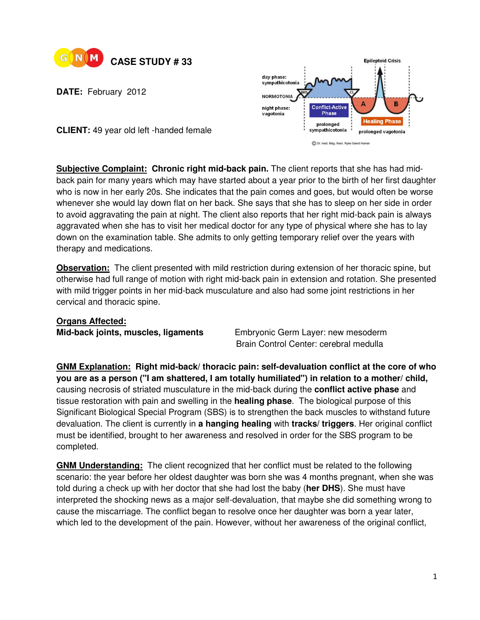

**DATE:** February 2012



**CLIENT:** 49 year old left -handed female

**Subjective Complaint: Chronic right mid-back pain.** The client reports that she has had midback pain for many years which may have started about a year prior to the birth of her first daughter who is now in her early 20s. She indicates that the pain comes and goes, but would often be worse whenever she would lay down flat on her back. She says that she has to sleep on her side in order to avoid aggravating the pain at night. The client also reports that her right mid-back pain is always aggravated when she has to visit her medical doctor for any type of physical where she has to lay down on the examination table. She admits to only getting temporary relief over the years with therapy and medications.

**Observation:** The client presented with mild restriction during extension of her thoracic spine, but otherwise had full range of motion with right mid-back pain in extension and rotation. She presented with mild trigger points in her mid-back musculature and also had some joint restrictions in her cervical and thoracic spine.

**Organs Affected:**

**Mid-back joints, muscles, ligaments** Embryonic Germ Layer: new mesoderm Brain Control Center: cerebral medulla

**GNM Explanation: Right mid-back/ thoracic pain: self-devaluation conflict at the core of who you are as a person ("I am shattered, I am totally humiliated") in relation to a mother/ child,**  causing necrosis of striated musculature in the mid-back during the **conflict active phase** and tissue restoration with pain and swelling in the **healing phase**. The biological purpose of this Significant Biological Special Program (SBS) is to strengthen the back muscles to withstand future devaluation. The client is currently in **a hanging healing** with **tracks/ triggers**. Her original conflict must be identified, brought to her awareness and resolved in order for the SBS program to be completed.

**GNM Understanding:** The client recognized that her conflict must be related to the following scenario: the year before her oldest daughter was born she was 4 months pregnant, when she was told during a check up with her doctor that she had lost the baby (**her DHS**). She must have interpreted the shocking news as a major self-devaluation, that maybe she did something wrong to cause the miscarriage. The conflict began to resolve once her daughter was born a year later, which led to the development of the pain. However, without her awareness of the original conflict,